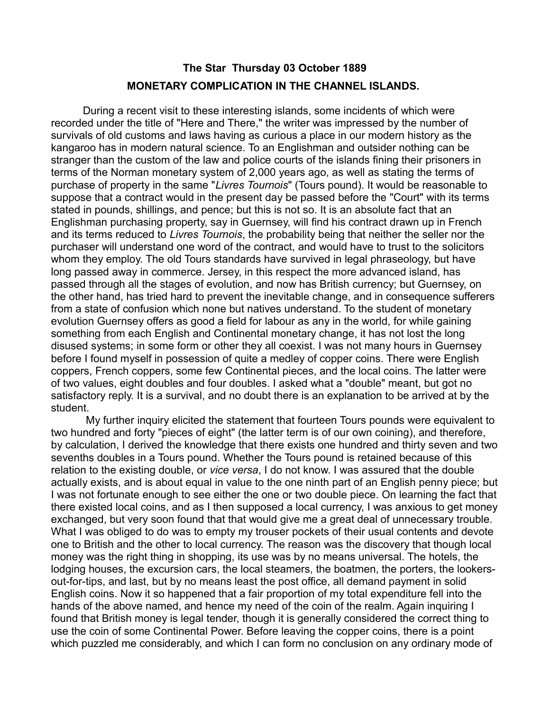## **The Star Thursday 03 October 1889 MONETARY COMPLICATION IN THE CHANNEL ISLANDS.**

During a recent visit to these interesting islands, some incidents of which were recorded under the title of "Here and There," the writer was impressed by the number of survivals of old customs and laws having as curious a place in our modern history as the kangaroo has in modern natural science. To an Englishman and outsider nothing can be stranger than the custom of the law and police courts of the islands fining their prisoners in terms of the Norman monetary system of 2,000 years ago, as well as stating the terms of purchase of property in the same "*Livres Tournois*" (Tours pound). It would be reasonable to suppose that a contract would in the present day be passed before the "Court" with its terms stated in pounds, shillings, and pence; but this is not so. It is an absolute fact that an Englishman purchasing property, say in Guernsey, will find his contract drawn up in French and its terms reduced to *Livres Tournois*, the probability being that neither the seller nor the purchaser will understand one word of the contract, and would have to trust to the solicitors whom they employ. The old Tours standards have survived in legal phraseology, but have long passed away in commerce. Jersey, in this respect the more advanced island, has passed through all the stages of evolution, and now has British currency; but Guernsey, on the other hand, has tried hard to prevent the inevitable change, and in consequence sufferers from a state of confusion which none but natives understand. To the student of monetary evolution Guernsey offers as good a field for labour as any in the world, for while gaining something from each English and Continental monetary change, it has not lost the long disused systems; in some form or other they all coexist. I was not many hours in Guernsey before I found myself in possession of quite a medley of copper coins. There were English coppers, French coppers, some few Continental pieces, and the local coins. The latter were of two values, eight doubles and four doubles. I asked what a "double" meant, but got no satisfactory reply. It is a survival, and no doubt there is an explanation to be arrived at by the student.

 My further inquiry elicited the statement that fourteen Tours pounds were equivalent to two hundred and forty "pieces of eight" (the latter term is of our own coining), and therefore, by calculation, I derived the knowledge that there exists one hundred and thirty seven and two sevenths doubles in a Tours pound. Whether the Tours pound is retained because of this relation to the existing double, or *vice versa*, I do not know. I was assured that the double actually exists, and is about equal in value to the one ninth part of an English penny piece; but I was not fortunate enough to see either the one or two double piece. On learning the fact that there existed local coins, and as I then supposed a local currency, I was anxious to get money exchanged, but very soon found that that would give me a great deal of unnecessary trouble. What I was obliged to do was to empty my trouser pockets of their usual contents and devote one to British and the other to local currency. The reason was the discovery that though local money was the right thing in shopping, its use was by no means universal. The hotels, the lodging houses, the excursion cars, the local steamers, the boatmen, the porters, the lookersout-for-tips, and last, but by no means least the post office, all demand payment in solid English coins. Now it so happened that a fair proportion of my total expenditure fell into the hands of the above named, and hence my need of the coin of the realm. Again inquiring I found that British money is legal tender, though it is generally considered the correct thing to use the coin of some Continental Power. Before leaving the copper coins, there is a point which puzzled me considerably, and which I can form no conclusion on any ordinary mode of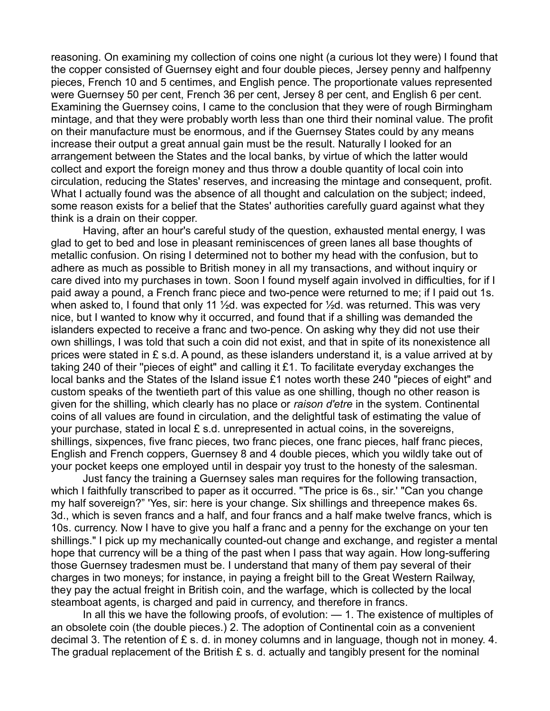reasoning. On examining my collection of coins one night (a curious lot they were) I found that the copper consisted of Guernsey eight and four double pieces, Jersey penny and halfpenny pieces, French 10 and 5 centimes, and English pence. The proportionate values represented were Guernsey 50 per cent, French 36 per cent, Jersey 8 per cent, and English 6 per cent. Examining the Guernsey coins, I came to the conclusion that they were of rough Birmingham mintage, and that they were probably worth less than one third their nominal value. The profit on their manufacture must be enormous, and if the Guernsey States could by any means increase their output a great annual gain must be the result. Naturally I looked for an arrangement between the States and the local banks, by virtue of which the latter would collect and export the foreign money and thus throw a double quantity of local coin into circulation, reducing the States' reserves, and increasing the mintage and consequent, profit. What I actually found was the absence of all thought and calculation on the subject; indeed, some reason exists for a belief that the States' authorities carefully guard against what they think is a drain on their copper.

Having, after an hour's careful study of the question, exhausted mental energy, I was glad to get to bed and lose in pleasant reminiscences of green lanes all base thoughts of metallic confusion. On rising I determined not to bother my head with the confusion, but to adhere as much as possible to British money in all my transactions, and without inquiry or care dived into my purchases in town. Soon I found myself again involved in difficulties, for if I paid away a pound, a French franc piece and two-pence were returned to me; if I paid out 1s. when asked to, I found that only 11  $\frac{1}{2}$ d. was expected for  $\frac{1}{2}$ d. was returned. This was very nice, but I wanted to know why it occurred, and found that if a shilling was demanded the islanders expected to receive a franc and two-pence. On asking why they did not use their own shillings, I was told that such a coin did not exist, and that in spite of its nonexistence all prices were stated in £ s.d. A pound, as these islanders understand it, is a value arrived at by taking 240 of their ''pieces of eight" and calling it £1. To facilitate everyday exchanges the local banks and the States of the Island issue £1 notes worth these 240 "pieces of eight" and custom speaks of the twentieth part of this value as one shilling, though no other reason is given for the shilling, which clearly has no place or *raison d'etre* in the system. Continental coins of all values are found in circulation, and the delightful task of estimating the value of your purchase, stated in local £ s.d. unrepresented in actual coins, in the sovereigns, shillings, sixpences, five franc pieces, two franc pieces, one franc pieces, half franc pieces, English and French coppers, Guernsey 8 and 4 double pieces, which you wildly take out of your pocket keeps one employed until in despair yoy trust to the honesty of the salesman.

Just fancy the training a Guernsey sales man requires for the following transaction, which I faithfully transcribed to paper as it occurred. "The price is 6s., sir.' "Can you change my half sovereign?" 'Yes, sir: here is your change. Six shillings and threepence makes 6s. 3d., which is seven francs and a half, and four francs and a half make twelve francs, which is 10s. currency. Now I have to give you half a franc and a penny for the exchange on your ten shillings." I pick up my mechanically counted-out change and exchange, and register a mental hope that currency will be a thing of the past when I pass that way again. How long-suffering those Guernsey tradesmen must be. I understand that many of them pay several of their charges in two moneys; for instance, in paying a freight bill to the Great Western Railway, they pay the actual freight in British coin, and the warfage, which is collected by the local steamboat agents, is charged and paid in currency, and therefore in francs.

In all this we have the following proofs, of evolution: — 1. The existence of multiples of an obsolete coin (the double pieces.) 2. The adoption of Continental coin as a convenient decimal 3. The retention of £ s. d. in money columns and in language, though not in money. 4. The gradual replacement of the British  $E$  s. d. actually and tangibly present for the nominal